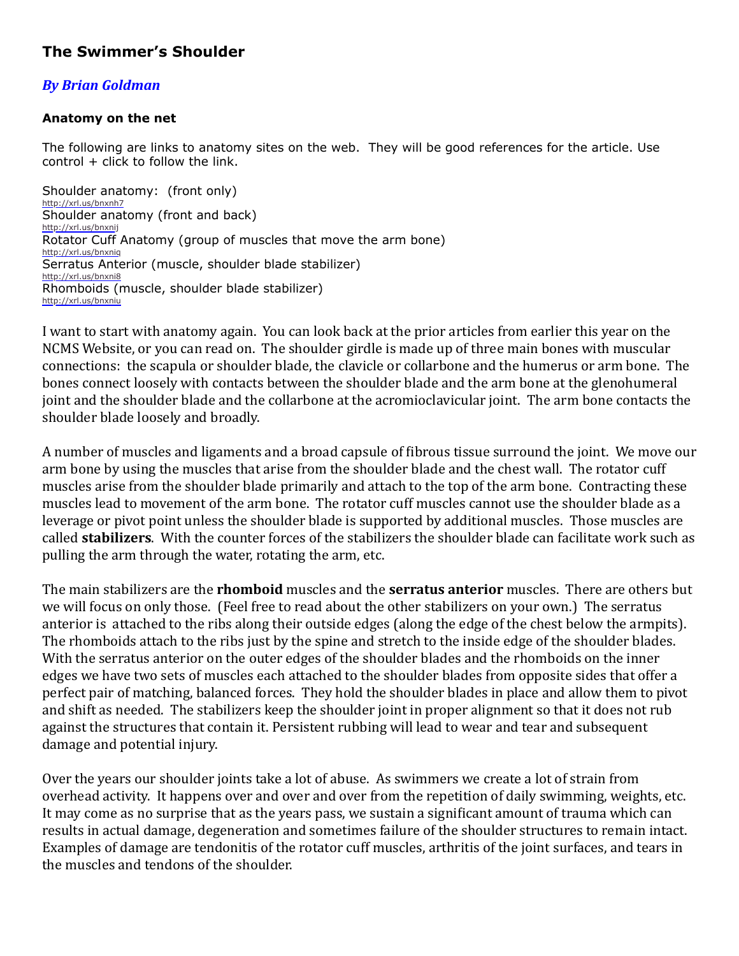## **The Swimmer's Shoulder**

## *By Brian Goldman*

## **Anatomy on the net**

The following are links to anatomy sites on the web. They will be good references for the article. Use  $control + click to follow the link.$ 

Shoulder anatomy: (front only) <http://xrl.us/bnxnh7> Shoulder anatomy (front and back) <http://xrl.us/bnxnij> Rotator Cuff Anatomy (group of muscles that move the arm bone) <http://xrl.us/bnxniq> Serratus Anterior (muscle, shoulder blade stabilizer) <http://xrl.us/bnxni8> Rhomboids (muscle, shoulder blade stabilizer) <http://xrl.us/bnxniu>

I want to start with anatomy again. You can look back at the prior articles from earlier this year on the NCMS Website, or you can read on. The shoulder girdle is made up of three main bones with muscular connections: the scapula or shoulder blade, the clavicle or collarbone and the humerus or arm bone. The bones connect loosely with contacts between the shoulder blade and the arm bone at the glenohumeral joint and the shoulder blade and the collarbone at the acromioclavicular joint. The arm bone contacts the shoulder blade loosely and broadly.

A number of muscles and ligaments and a broad capsule of fibrous tissue surround the joint. We move our arm bone by using the muscles that arise from the shoulder blade and the chest wall. The rotator cuff muscles arise from the shoulder blade primarily and attach to the top of the arm bone. Contracting these muscles lead to movement of the arm bone. The rotator cuff muscles cannot use the shoulder blade as a leverage or pivot point unless the shoulder blade is supported by additional muscles. Those muscles are called **stabilizers**. With the counter forces of the stabilizers the shoulder blade can facilitate work such as pulling the arm through the water, rotating the arm, etc.

The main stabilizers are the **rhomboid** muscles and the **serratus anterior** muscles. There are others but we will focus on only those. (Feel free to read about the other stabilizers on your own.) The serratus anterior is attached to the ribs along their outside edges (along the edge of the chest below the armpits). The rhomboids attach to the ribs just by the spine and stretch to the inside edge of the shoulder blades. With the serratus anterior on the outer edges of the shoulder blades and the rhomboids on the inner edges we have two sets of muscles each attached to the shoulder blades from opposite sides that offer a perfect pair of matching, balanced forces. They hold the shoulder blades in place and allow them to pivot and shift as needed. The stabilizers keep the shoulder joint in proper alignment so that it does not rub against the structures that contain it. Persistent rubbing will lead to wear and tear and subsequent damage and potential injury.

Over the years our shoulder joints take a lot of abuse. As swimmers we create a lot of strain from overhead activity. It happens over and over and over from the repetition of daily swimming, weights, etc. It may come as no surprise that as the years pass, we sustain a significant amount of trauma which can results in actual damage, degeneration and sometimes failure of the shoulder structures to remain intact. Examples of damage are tendonitis of the rotator cuff muscles, arthritis of the joint surfaces, and tears in the muscles and tendons of the shoulder.